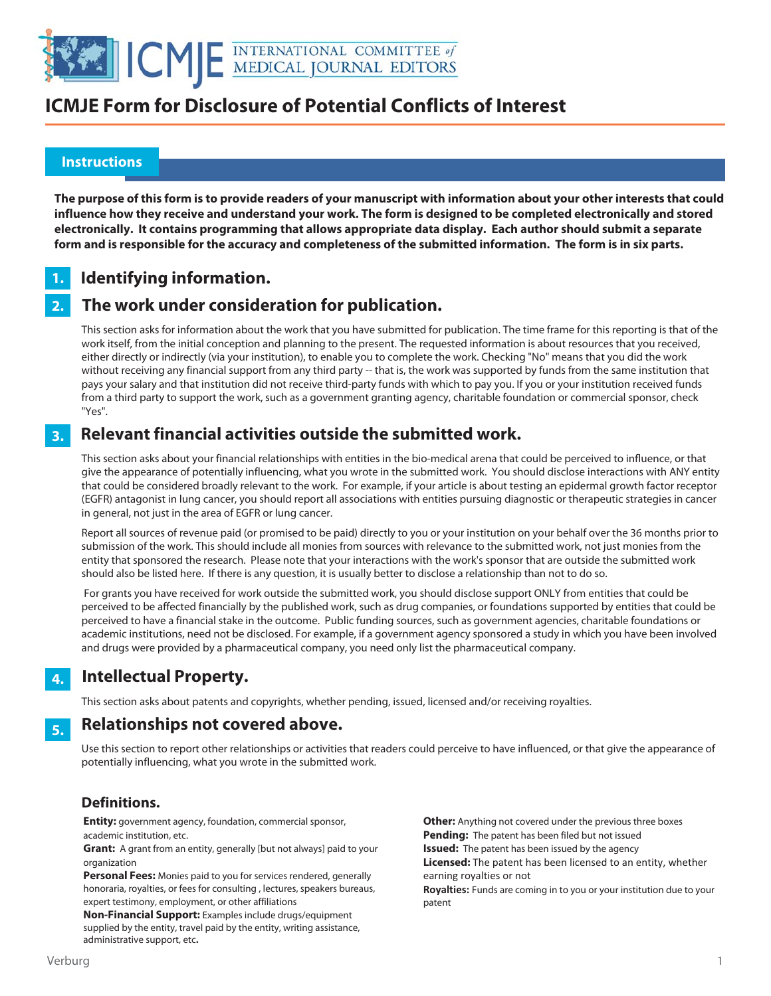

#### **Instructions**

 

> **The purpose of this form is to provide readers of your manuscript with information about your other interests that could influence how they receive and understand your work. The form is designed to be completed electronically and stored electronically. It contains programming that allows appropriate data display. Each author should submit a separate form and is responsible for the accuracy and completeness of the submitted information. The form is in six parts.**

#### **Identifying information. 1.**

#### **The work under consideration for publication. 2.**

This section asks for information about the work that you have submitted for publication. The time frame for this reporting is that of the work itself, from the initial conception and planning to the present. The requested information is about resources that you received, either directly or indirectly (via your institution), to enable you to complete the work. Checking "No" means that you did the work without receiving any financial support from any third party -- that is, the work was supported by funds from the same institution that pays your salary and that institution did not receive third-party funds with which to pay you. If you or your institution received funds from a third party to support the work, such as a government granting agency, charitable foundation or commercial sponsor, check "Yes".

#### **Relevant financial activities outside the submitted work. 3.**

This section asks about your financial relationships with entities in the bio-medical arena that could be perceived to influence, or that give the appearance of potentially influencing, what you wrote in the submitted work. You should disclose interactions with ANY entity that could be considered broadly relevant to the work. For example, if your article is about testing an epidermal growth factor receptor (EGFR) antagonist in lung cancer, you should report all associations with entities pursuing diagnostic or therapeutic strategies in cancer in general, not just in the area of EGFR or lung cancer.

Report all sources of revenue paid (or promised to be paid) directly to you or your institution on your behalf over the 36 months prior to submission of the work. This should include all monies from sources with relevance to the submitted work, not just monies from the entity that sponsored the research. Please note that your interactions with the work's sponsor that are outside the submitted work should also be listed here. If there is any question, it is usually better to disclose a relationship than not to do so.

 For grants you have received for work outside the submitted work, you should disclose support ONLY from entities that could be perceived to be affected financially by the published work, such as drug companies, or foundations supported by entities that could be perceived to have a financial stake in the outcome. Public funding sources, such as government agencies, charitable foundations or academic institutions, need not be disclosed. For example, if a government agency sponsored a study in which you have been involved and drugs were provided by a pharmaceutical company, you need only list the pharmaceutical company.

#### **Intellectual Property. 4.**

This section asks about patents and copyrights, whether pending, issued, licensed and/or receiving royalties.

#### **Relationships not covered above. 5.**

Use this section to report other relationships or activities that readers could perceive to have influenced, or that give the appearance of potentially influencing, what you wrote in the submitted work.

### **Definitions.**

**Entity:** government agency, foundation, commercial sponsor, academic institution, etc.

**Grant:** A grant from an entity, generally [but not always] paid to your organization

**Personal Fees:** Monies paid to you for services rendered, generally honoraria, royalties, or fees for consulting , lectures, speakers bureaus, expert testimony, employment, or other affiliations

**Non-Financial Support:** Examples include drugs/equipment supplied by the entity, travel paid by the entity, writing assistance, administrative support, etc**.**

**Other:** Anything not covered under the previous three boxes **Pending:** The patent has been filed but not issued **Issued:** The patent has been issued by the agency **Licensed:** The patent has been licensed to an entity, whether earning royalties or not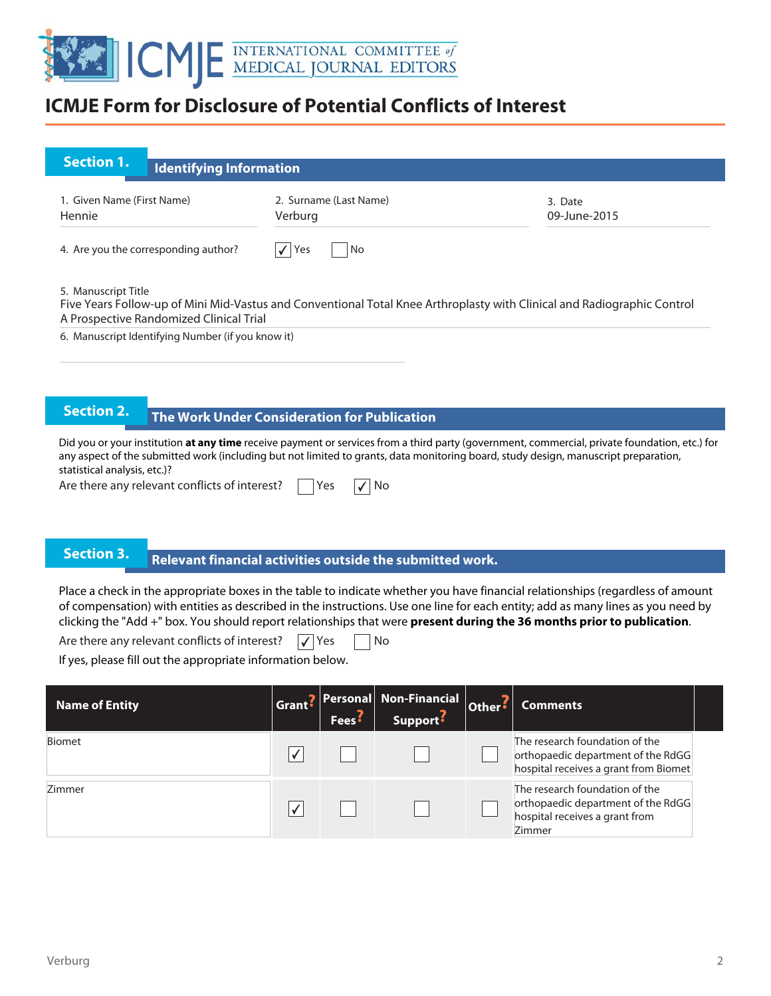

| <b>Section 1.</b>                    | <b>Identifying Information</b>       |                                   |                         |  |
|--------------------------------------|--------------------------------------|-----------------------------------|-------------------------|--|
| 1. Given Name (First Name)<br>Hennie |                                      | 2. Surname (Last Name)<br>Verburg | 3. Date<br>09-June-2015 |  |
|                                      | 4. Are you the corresponding author? | Yes<br><b>No</b>                  |                         |  |

5. Manuscript Title

Five Years Follow-up of Mini Mid-Vastus and Conventional Total Knee Arthroplasty with Clinical and Radiographic Control A Prospective Randomized Clinical Trial

6. Manuscript Identifying Number (if you know it)

## **The Work Under Consideration for Publication**

Did you or your institution **at any time** receive payment or services from a third party (government, commercial, private foundation, etc.) for any aspect of the submitted work (including but not limited to grants, data monitoring board, study design, manuscript preparation, statistical analysis, etc.)?

Are there any relevant conflicts of interest?  $\Box$  Yes  $\Box$  No

|  | $\sim$ |  |
|--|--------|--|
|  |        |  |

# **Relevant financial activities outside the submitted work. Section 3. Relevant financial activities outset**

Place a check in the appropriate boxes in the table to indicate whether you have financial relationships (regardless of amount of compensation) with entities as described in the instructions. Use one line for each entity; add as many lines as you need by clicking the "Add +" box. You should report relationships that were **present during the 36 months prior to publication**.

Are there any relevant conflicts of interest?  $\sqrt{\ }$  Yes  $\Box$  No

If yes, please fill out the appropriate information below.

| Name of Entity | Grant <sup>:</sup> | <b>Fees</b> | <b>Personal Non-Financial</b><br>Support • | $ _{\mathsf{Other}}$ ? | <b>Comments</b>                                                                                                  |  |
|----------------|--------------------|-------------|--------------------------------------------|------------------------|------------------------------------------------------------------------------------------------------------------|--|
| <b>Biomet</b>  |                    |             |                                            |                        | The research foundation of the<br>orthopaedic department of the RdGG<br>hospital receives a grant from Biomet    |  |
| Zimmer         |                    |             |                                            |                        | The research foundation of the<br>orthopaedic department of the RdGG<br>hospital receives a grant from<br>Zimmer |  |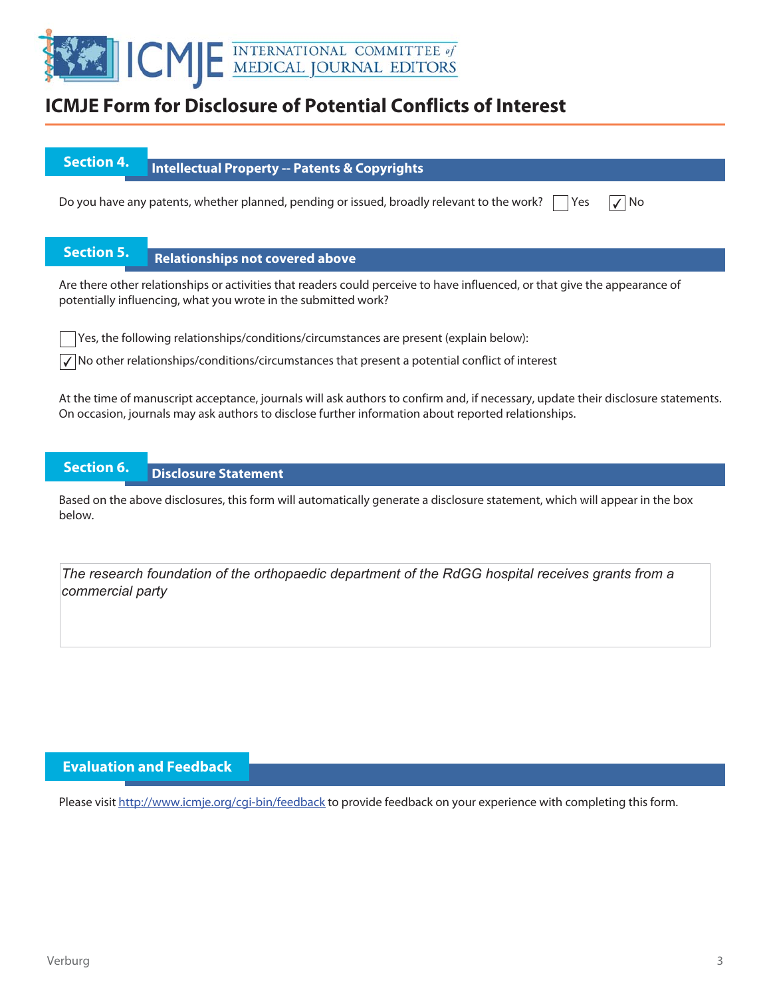

## **Intellectual Property -- Patents & Copyrights**

Do you have any patents, whether planned, pending or issued, broadly relevant to the work?  $\vert \ \vert$  Yes  $\vert \ \vert$  No

### **Section 5.** Relationships not covered above

Are there other relationships or activities that readers could perceive to have influenced, or that give the appearance of potentially influencing, what you wrote in the submitted work?

Yes, the following relationships/conditions/circumstances are present (explain below):

 $\sqrt{\sqrt{}}$  No other relationships/conditions/circumstances that present a potential conflict of interest

At the time of manuscript acceptance, journals will ask authors to confirm and, if necessary, update their disclosure statements. On occasion, journals may ask authors to disclose further information about reported relationships.

### **Section 6. Disclosure Statement**

Based on the above disclosures, this form will automatically generate a disclosure statement, which will appear in the box below.

*The research foundation of the orthopaedic department of the RdGG hospital receives grants from a commercial party*

### **Evaluation and Feedback**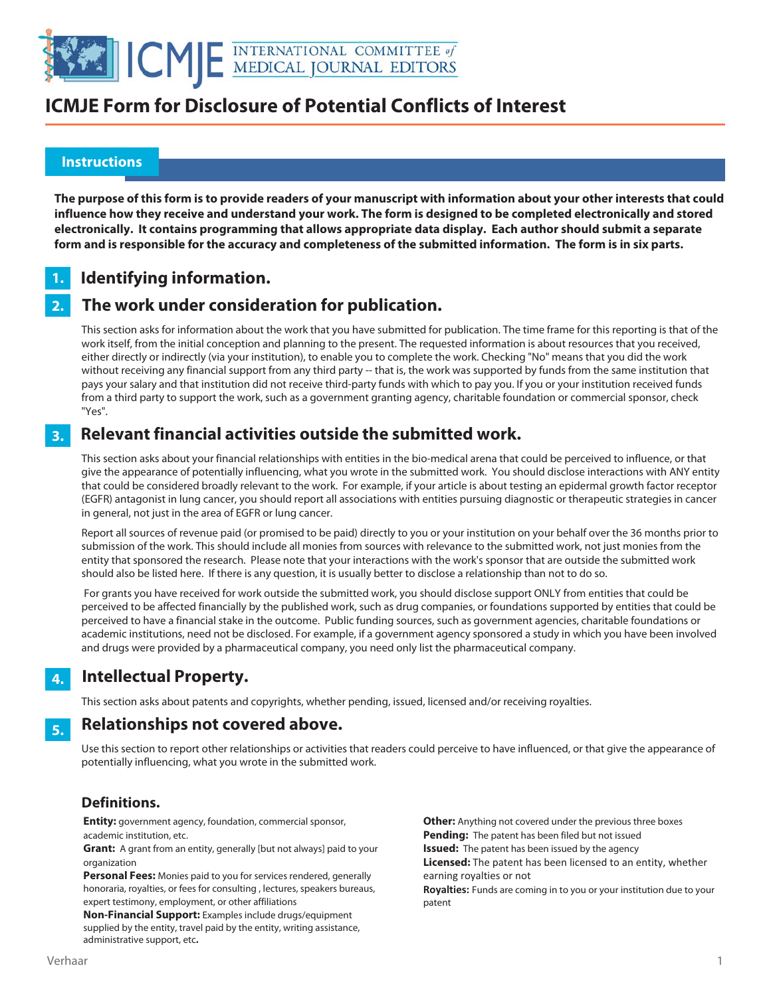

#### **Instructions**

 

> **The purpose of this form is to provide readers of your manuscript with information about your other interests that could influence how they receive and understand your work. The form is designed to be completed electronically and stored electronically. It contains programming that allows appropriate data display. Each author should submit a separate form and is responsible for the accuracy and completeness of the submitted information. The form is in six parts.**

#### **Identifying information. 1.**

#### **The work under consideration for publication. 2.**

This section asks for information about the work that you have submitted for publication. The time frame for this reporting is that of the work itself, from the initial conception and planning to the present. The requested information is about resources that you received, either directly or indirectly (via your institution), to enable you to complete the work. Checking "No" means that you did the work without receiving any financial support from any third party -- that is, the work was supported by funds from the same institution that pays your salary and that institution did not receive third-party funds with which to pay you. If you or your institution received funds from a third party to support the work, such as a government granting agency, charitable foundation or commercial sponsor, check "Yes".

#### **Relevant financial activities outside the submitted work. 3.**

This section asks about your financial relationships with entities in the bio-medical arena that could be perceived to influence, or that give the appearance of potentially influencing, what you wrote in the submitted work. You should disclose interactions with ANY entity that could be considered broadly relevant to the work. For example, if your article is about testing an epidermal growth factor receptor (EGFR) antagonist in lung cancer, you should report all associations with entities pursuing diagnostic or therapeutic strategies in cancer in general, not just in the area of EGFR or lung cancer.

Report all sources of revenue paid (or promised to be paid) directly to you or your institution on your behalf over the 36 months prior to submission of the work. This should include all monies from sources with relevance to the submitted work, not just monies from the entity that sponsored the research. Please note that your interactions with the work's sponsor that are outside the submitted work should also be listed here. If there is any question, it is usually better to disclose a relationship than not to do so.

 For grants you have received for work outside the submitted work, you should disclose support ONLY from entities that could be perceived to be affected financially by the published work, such as drug companies, or foundations supported by entities that could be perceived to have a financial stake in the outcome. Public funding sources, such as government agencies, charitable foundations or academic institutions, need not be disclosed. For example, if a government agency sponsored a study in which you have been involved and drugs were provided by a pharmaceutical company, you need only list the pharmaceutical company.

#### **Intellectual Property. 4.**

This section asks about patents and copyrights, whether pending, issued, licensed and/or receiving royalties.

#### **Relationships not covered above. 5.**

Use this section to report other relationships or activities that readers could perceive to have influenced, or that give the appearance of potentially influencing, what you wrote in the submitted work.

### **Definitions.**

**Entity:** government agency, foundation, commercial sponsor, academic institution, etc.

**Grant:** A grant from an entity, generally [but not always] paid to your organization

**Personal Fees:** Monies paid to you for services rendered, generally honoraria, royalties, or fees for consulting , lectures, speakers bureaus, expert testimony, employment, or other affiliations

**Non-Financial Support:** Examples include drugs/equipment supplied by the entity, travel paid by the entity, writing assistance, administrative support, etc**.**

**Other:** Anything not covered under the previous three boxes **Pending:** The patent has been filed but not issued **Issued:** The patent has been issued by the agency **Licensed:** The patent has been licensed to an entity, whether earning royalties or not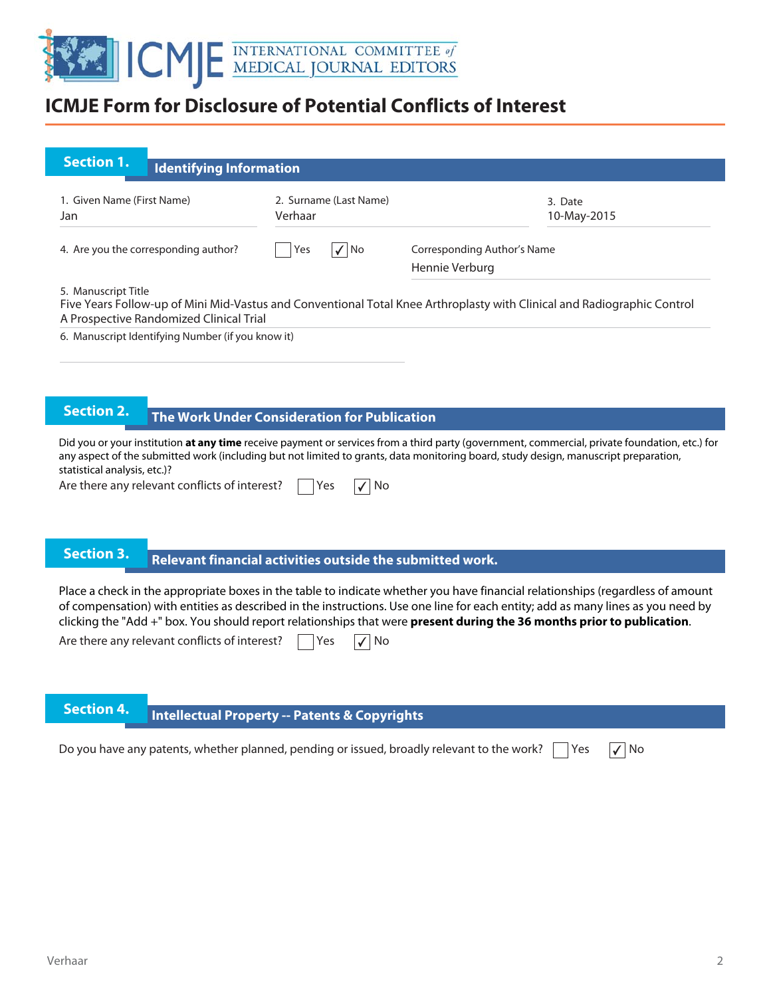

| <b>Section 1.</b>                 | <b>Identifying Information</b>                    |         |                        |                                               |                                                                                                                         |
|-----------------------------------|---------------------------------------------------|---------|------------------------|-----------------------------------------------|-------------------------------------------------------------------------------------------------------------------------|
| 1. Given Name (First Name)<br>Jan |                                                   | Verhaar | 2. Surname (Last Name) |                                               | 3. Date<br>10-May-2015                                                                                                  |
|                                   | 4. Are you the corresponding author?              | Yes     | $\sqrt{ N_{0}}$        | Corresponding Author's Name<br>Hennie Verburg |                                                                                                                         |
| 5. Manuscript Title               | A Prospective Randomized Clinical Trial           |         |                        |                                               | Five Years Follow-up of Mini Mid-Vastus and Conventional Total Knee Arthroplasty with Clinical and Radiographic Control |
|                                   | 6. Manuscript Identifying Number (if you know it) |         |                        |                                               |                                                                                                                         |

## **The Work Under Consideration for Publication**

Did you or your institution **at any time** receive payment or services from a third party (government, commercial, private foundation, etc.) for any aspect of the submitted work (including but not limited to grants, data monitoring board, study design, manuscript preparation, statistical analysis, etc.)?

Are there any relevant conflicts of interest?  $\Box$  Yes  $\Box$  N

|  | ۰.<br>× |  |
|--|---------|--|
|  |         |  |

# **Relevant financial activities outside the submitted work. Section 3. Relevant financial activities outset**

Place a check in the appropriate boxes in the table to indicate whether you have financial relationships (regardless of amount of compensation) with entities as described in the instructions. Use one line for each entity; add as many lines as you need by clicking the "Add +" box. You should report relationships that were **present during the 36 months prior to publication**.

Are there any relevant conflicts of interest?  $\Box$  Yes  $\Box$  No

## **Intellectual Property -- Patents & Copyrights**

Do you have any patents, whether planned, pending or issued, broadly relevant to the work?  $\vert \ \vert$  Yes  $\vert \sqrt{\vert N}$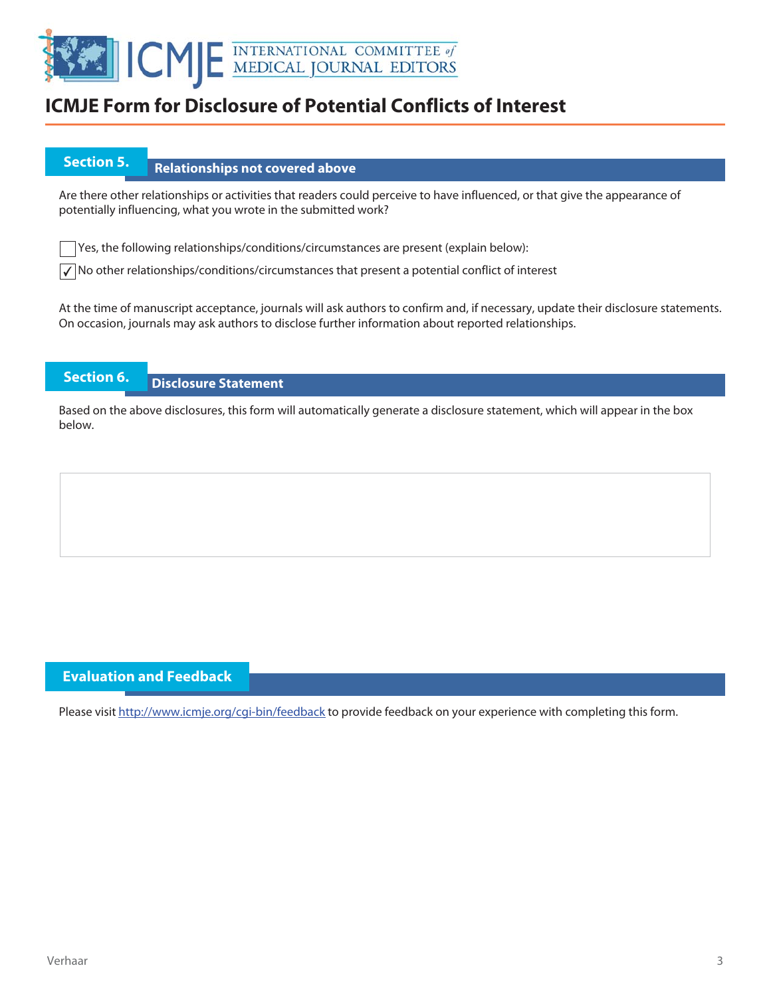

### **Section 5.** Relationships not covered above

Are there other relationships or activities that readers could perceive to have influenced, or that give the appearance of potentially influencing, what you wrote in the submitted work?

Yes, the following relationships/conditions/circumstances are present (explain below):

 $\sqrt{\ }$  No other relationships/conditions/circumstances that present a potential conflict of interest

At the time of manuscript acceptance, journals will ask authors to confirm and, if necessary, update their disclosure statements. On occasion, journals may ask authors to disclose further information about reported relationships.

### **Section 6. Disclosure Statement**

Based on the above disclosures, this form will automatically generate a disclosure statement, which will appear in the box below.

### **Evaluation and Feedback**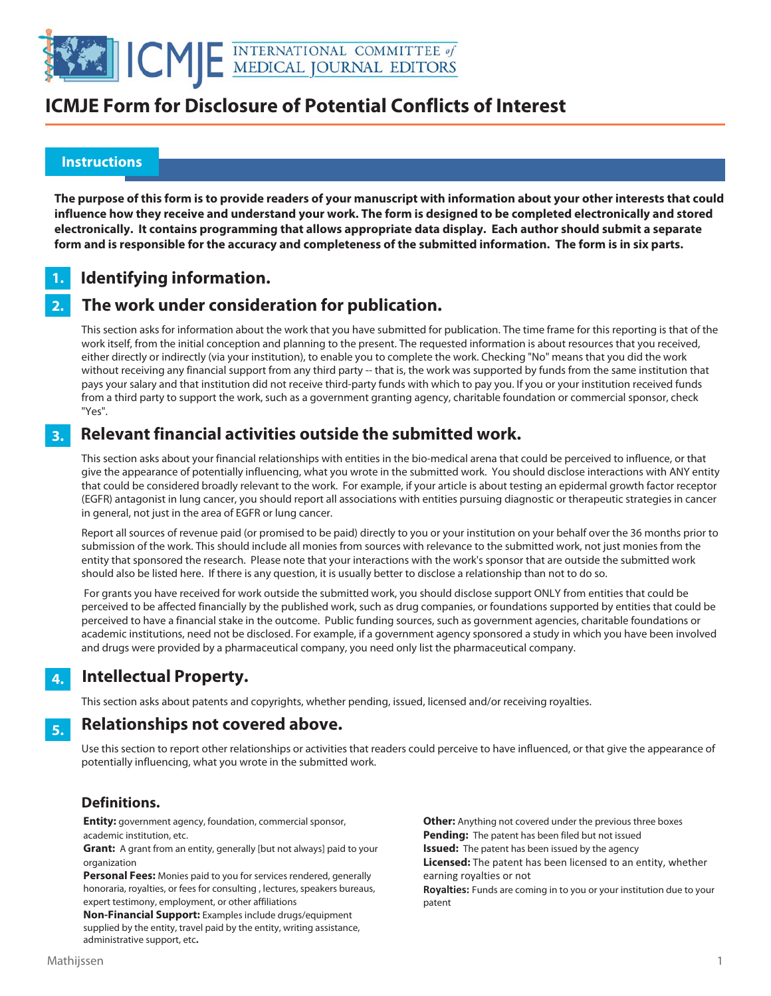

#### **Instructions**

 

> **The purpose of this form is to provide readers of your manuscript with information about your other interests that could influence how they receive and understand your work. The form is designed to be completed electronically and stored electronically. It contains programming that allows appropriate data display. Each author should submit a separate form and is responsible for the accuracy and completeness of the submitted information. The form is in six parts.**

#### **Identifying information. 1.**

#### **The work under consideration for publication. 2.**

This section asks for information about the work that you have submitted for publication. The time frame for this reporting is that of the work itself, from the initial conception and planning to the present. The requested information is about resources that you received, either directly or indirectly (via your institution), to enable you to complete the work. Checking "No" means that you did the work without receiving any financial support from any third party -- that is, the work was supported by funds from the same institution that pays your salary and that institution did not receive third-party funds with which to pay you. If you or your institution received funds from a third party to support the work, such as a government granting agency, charitable foundation or commercial sponsor, check "Yes".

#### **Relevant financial activities outside the submitted work. 3.**

This section asks about your financial relationships with entities in the bio-medical arena that could be perceived to influence, or that give the appearance of potentially influencing, what you wrote in the submitted work. You should disclose interactions with ANY entity that could be considered broadly relevant to the work. For example, if your article is about testing an epidermal growth factor receptor (EGFR) antagonist in lung cancer, you should report all associations with entities pursuing diagnostic or therapeutic strategies in cancer in general, not just in the area of EGFR or lung cancer.

Report all sources of revenue paid (or promised to be paid) directly to you or your institution on your behalf over the 36 months prior to submission of the work. This should include all monies from sources with relevance to the submitted work, not just monies from the entity that sponsored the research. Please note that your interactions with the work's sponsor that are outside the submitted work should also be listed here. If there is any question, it is usually better to disclose a relationship than not to do so.

 For grants you have received for work outside the submitted work, you should disclose support ONLY from entities that could be perceived to be affected financially by the published work, such as drug companies, or foundations supported by entities that could be perceived to have a financial stake in the outcome. Public funding sources, such as government agencies, charitable foundations or academic institutions, need not be disclosed. For example, if a government agency sponsored a study in which you have been involved and drugs were provided by a pharmaceutical company, you need only list the pharmaceutical company.

#### **Intellectual Property. 4.**

This section asks about patents and copyrights, whether pending, issued, licensed and/or receiving royalties.

#### **Relationships not covered above. 5.**

Use this section to report other relationships or activities that readers could perceive to have influenced, or that give the appearance of potentially influencing, what you wrote in the submitted work.

### **Definitions.**

**Entity:** government agency, foundation, commercial sponsor, academic institution, etc.

**Grant:** A grant from an entity, generally [but not always] paid to your organization

**Personal Fees:** Monies paid to you for services rendered, generally honoraria, royalties, or fees for consulting , lectures, speakers bureaus, expert testimony, employment, or other affiliations

**Non-Financial Support:** Examples include drugs/equipment supplied by the entity, travel paid by the entity, writing assistance, administrative support, etc**.**

**Other:** Anything not covered under the previous three boxes **Pending:** The patent has been filed but not issued **Issued:** The patent has been issued by the agency **Licensed:** The patent has been licensed to an entity, whether earning royalties or not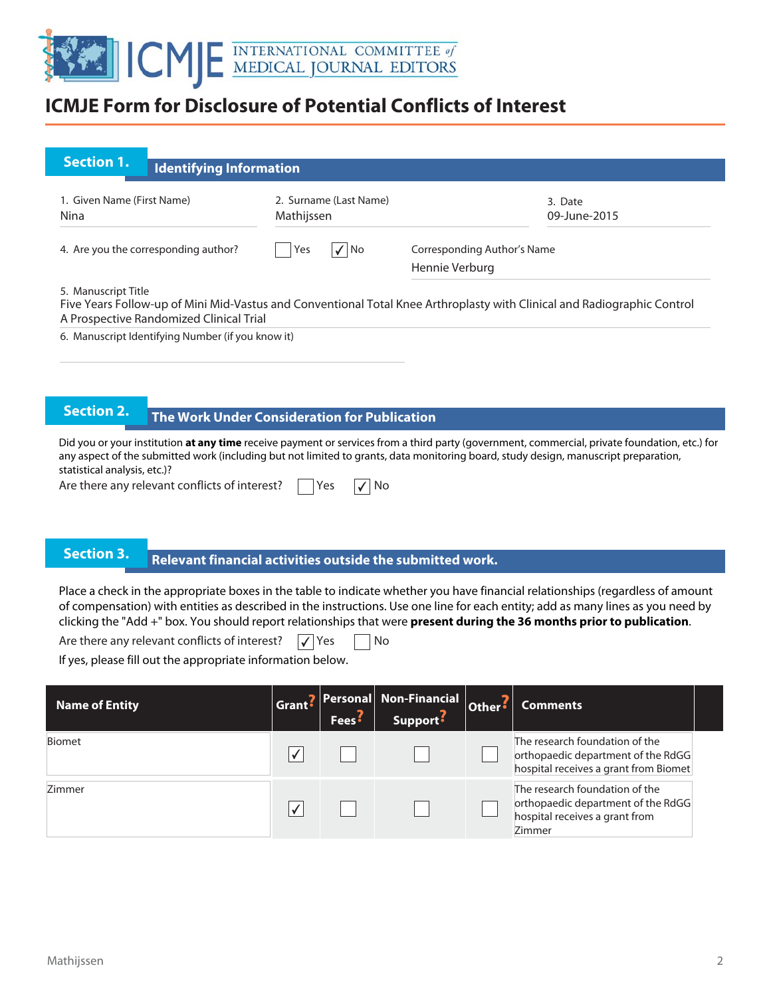

| <b>Section 1.</b>                  | <b>Identifying Information</b>       |                                      |                                                                                                                         |
|------------------------------------|--------------------------------------|--------------------------------------|-------------------------------------------------------------------------------------------------------------------------|
| 1. Given Name (First Name)<br>Nina |                                      | 2. Surname (Last Name)<br>Mathijssen | 3. Date<br>09-June-2015                                                                                                 |
|                                    | 4. Are you the corresponding author? | Yes<br>$\sqrt{ N_{0} }$              | Corresponding Author's Name<br>Hennie Verburg                                                                           |
| 5. Manuscript Title                |                                      |                                      | Five Years Follow-up of Mini Mid-Vastus and Conventional Total Knee Arthroplasty with Clinical and Radiographic Control |

A Prospective Randomized Clinical Trial

6. Manuscript Identifying Number (if you know it)

# **The Work Under Consideration for Publication**

Did you or your institution **at any time** receive payment or services from a third party (government, commercial, private foundation, etc.) for any aspect of the submitted work (including but not limited to grants, data monitoring board, study design, manuscript preparation, statistical analysis, etc.)?

Are there any relevant conflicts of interest?  $\Box$  Yes  $\Box$  No

| $\sim$ |  |
|--------|--|
|        |  |

# **Relevant financial activities outside the submitted work. Section 3. Relevant financial activities outset**

Place a check in the appropriate boxes in the table to indicate whether you have financial relationships (regardless of amount of compensation) with entities as described in the instructions. Use one line for each entity; add as many lines as you need by clicking the "Add +" box. You should report relationships that were **present during the 36 months prior to publication**.

Are there any relevant conflicts of interest?  $\sqrt{\ }$  Yes  $\Box$  No

If yes, please fill out the appropriate information below.

| <b>Name of Entity</b> | Grant? | <b>Fees</b> | <b>Personal Non-Financial</b><br>Support: | $ $ Other $\epsilon$ | <b>Comments</b>                                                                                                  |  |
|-----------------------|--------|-------------|-------------------------------------------|----------------------|------------------------------------------------------------------------------------------------------------------|--|
| <b>Biomet</b>         |        |             |                                           |                      | The research foundation of the<br>orthopaedic department of the RdGG<br>hospital receives a grant from Biomet    |  |
| Zimmer                |        |             |                                           |                      | The research foundation of the<br>orthopaedic department of the RdGG<br>hospital receives a grant from<br>Zimmer |  |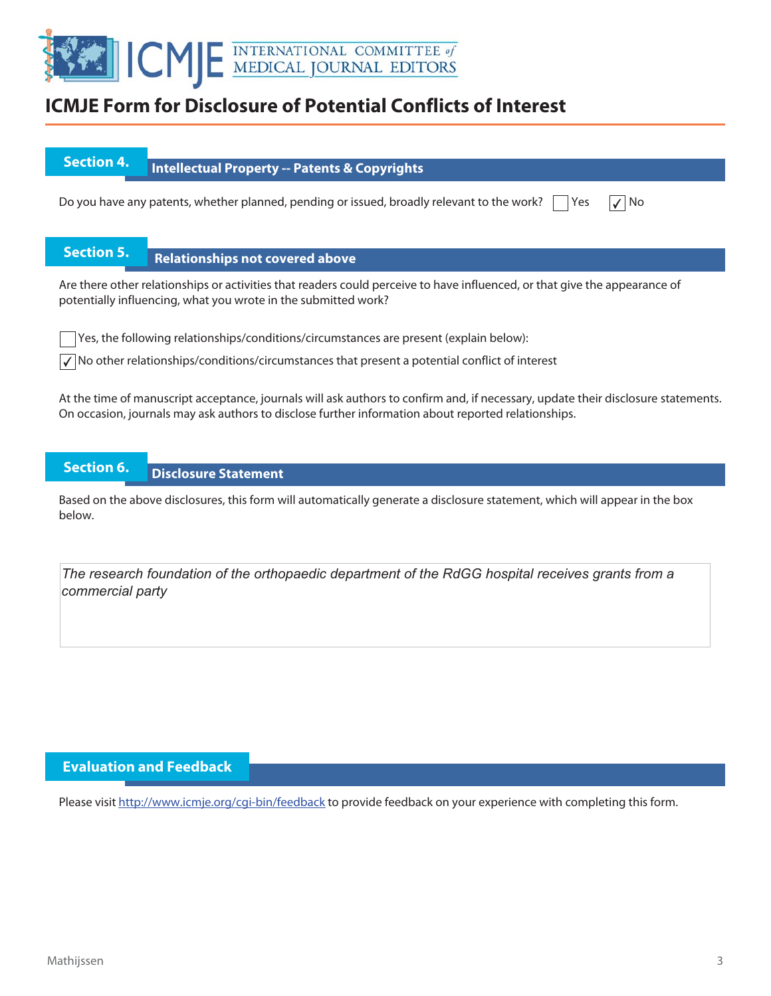

## **Intellectual Property -- Patents & Copyrights**

Do you have any patents, whether planned, pending or issued, broadly relevant to the work?  $\vert \ \vert$  Yes  $\vert \ \vert$  No

### **Section 5.** Relationships not covered above

Are there other relationships or activities that readers could perceive to have influenced, or that give the appearance of potentially influencing, what you wrote in the submitted work?

Yes, the following relationships/conditions/circumstances are present (explain below):

 $\sqrt{\frac{1}{\sqrt{\pi}}}$  No other relationships/conditions/circumstances that present a potential conflict of interest

At the time of manuscript acceptance, journals will ask authors to confirm and, if necessary, update their disclosure statements. On occasion, journals may ask authors to disclose further information about reported relationships.

### **Section 6. Disclosure Statement**

Based on the above disclosures, this form will automatically generate a disclosure statement, which will appear in the box below.

*The research foundation of the orthopaedic department of the RdGG hospital receives grants from a commercial party*

### **Evaluation and Feedback**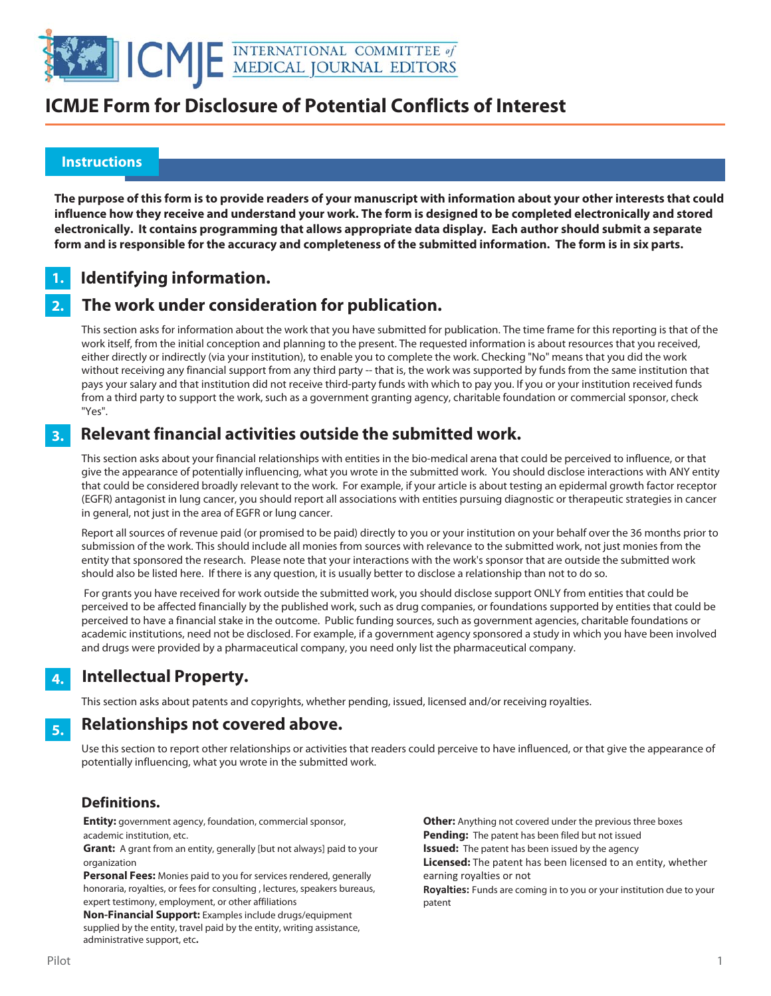

#### **Instructions**

 

> **The purpose of this form is to provide readers of your manuscript with information about your other interests that could influence how they receive and understand your work. The form is designed to be completed electronically and stored electronically. It contains programming that allows appropriate data display. Each author should submit a separate form and is responsible for the accuracy and completeness of the submitted information. The form is in six parts.**

#### **Identifying information. 1.**

#### **The work under consideration for publication. 2.**

This section asks for information about the work that you have submitted for publication. The time frame for this reporting is that of the work itself, from the initial conception and planning to the present. The requested information is about resources that you received, either directly or indirectly (via your institution), to enable you to complete the work. Checking "No" means that you did the work without receiving any financial support from any third party -- that is, the work was supported by funds from the same institution that pays your salary and that institution did not receive third-party funds with which to pay you. If you or your institution received funds from a third party to support the work, such as a government granting agency, charitable foundation or commercial sponsor, check "Yes".

#### **Relevant financial activities outside the submitted work. 3.**

This section asks about your financial relationships with entities in the bio-medical arena that could be perceived to influence, or that give the appearance of potentially influencing, what you wrote in the submitted work. You should disclose interactions with ANY entity that could be considered broadly relevant to the work. For example, if your article is about testing an epidermal growth factor receptor (EGFR) antagonist in lung cancer, you should report all associations with entities pursuing diagnostic or therapeutic strategies in cancer in general, not just in the area of EGFR or lung cancer.

Report all sources of revenue paid (or promised to be paid) directly to you or your institution on your behalf over the 36 months prior to submission of the work. This should include all monies from sources with relevance to the submitted work, not just monies from the entity that sponsored the research. Please note that your interactions with the work's sponsor that are outside the submitted work should also be listed here. If there is any question, it is usually better to disclose a relationship than not to do so.

 For grants you have received for work outside the submitted work, you should disclose support ONLY from entities that could be perceived to be affected financially by the published work, such as drug companies, or foundations supported by entities that could be perceived to have a financial stake in the outcome. Public funding sources, such as government agencies, charitable foundations or academic institutions, need not be disclosed. For example, if a government agency sponsored a study in which you have been involved and drugs were provided by a pharmaceutical company, you need only list the pharmaceutical company.

#### **Intellectual Property. 4.**

This section asks about patents and copyrights, whether pending, issued, licensed and/or receiving royalties.

#### **Relationships not covered above. 5.**

Use this section to report other relationships or activities that readers could perceive to have influenced, or that give the appearance of potentially influencing, what you wrote in the submitted work.

### **Definitions.**

**Entity:** government agency, foundation, commercial sponsor, academic institution, etc.

**Grant:** A grant from an entity, generally [but not always] paid to your organization

**Personal Fees:** Monies paid to you for services rendered, generally honoraria, royalties, or fees for consulting , lectures, speakers bureaus, expert testimony, employment, or other affiliations

**Non-Financial Support:** Examples include drugs/equipment supplied by the entity, travel paid by the entity, writing assistance, administrative support, etc**.**

**Other:** Anything not covered under the previous three boxes **Pending:** The patent has been filed but not issued **Issued:** The patent has been issued by the agency **Licensed:** The patent has been licensed to an entity, whether earning royalties or not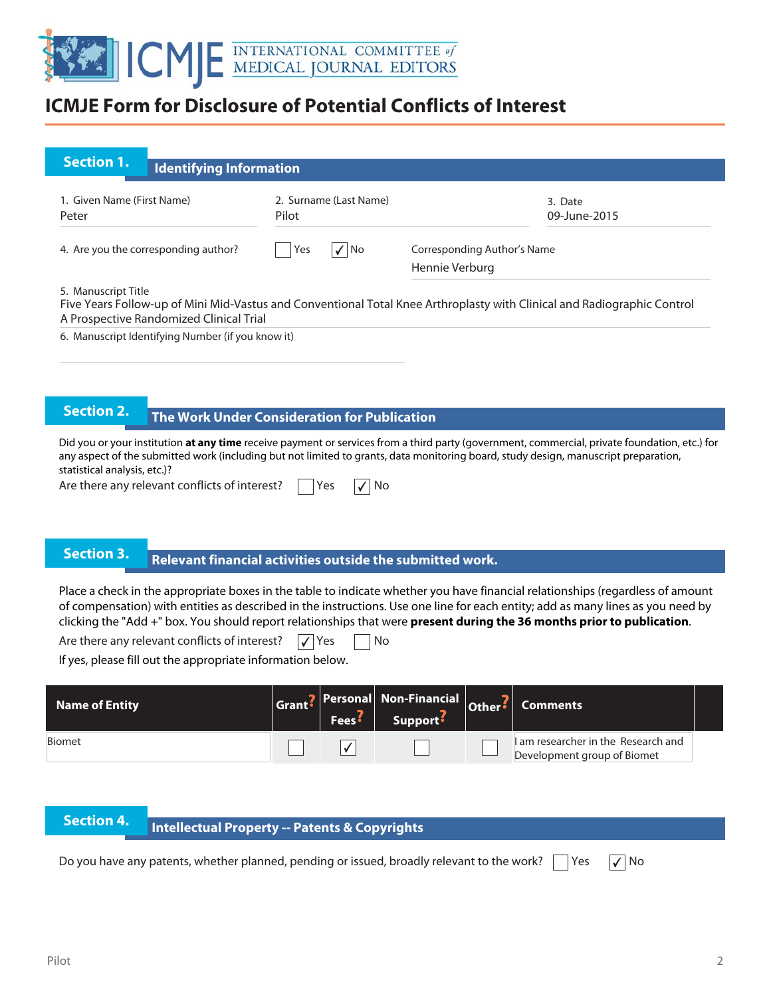

| <b>Section 1.</b>                   | <b>Identifying Information</b>          |                                 |                                               |                                                                                                                         |
|-------------------------------------|-----------------------------------------|---------------------------------|-----------------------------------------------|-------------------------------------------------------------------------------------------------------------------------|
| 1. Given Name (First Name)<br>Peter |                                         | 2. Surname (Last Name)<br>Pilot |                                               | 3. Date<br>09-June-2015                                                                                                 |
|                                     | 4. Are you the corresponding author?    | $\sqrt{ N_{0}}$<br>Yes          | Corresponding Author's Name<br>Hennie Verburg |                                                                                                                         |
| 5. Manuscript Title                 | A Prospective Randomized Clinical Trial |                                 |                                               | Five Years Follow-up of Mini Mid-Vastus and Conventional Total Knee Arthroplasty with Clinical and Radiographic Control |

6. Manuscript Identifying Number (if you know it)

### **The Work Under Consideration for Publication**

Did you or your institution **at any time** receive payment or services from a third party (government, commercial, private foundation, etc.) for any aspect of the submitted work (including but not limited to grants, data monitoring board, study design, manuscript preparation, statistical analysis, etc.)?

Are there any relevant conflicts of interest?  $\Box$  Yes  $\Box$  No

# **Relevant financial activities outside the submitted work. Section 3. Relevant financial activities outset**

Place a check in the appropriate boxes in the table to indicate whether you have financial relationships (regardless of amount of compensation) with entities as described in the instructions. Use one line for each entity; add as many lines as you need by clicking the "Add +" box. You should report relationships that were **present during the 36 months prior to publication**.

Are there any relevant conflicts of interest?  $\sqrt{\ }$  Yes  $\Box$  No

If yes, please fill out the appropriate information below.

| <b>Name of Entity</b> | Fees <sup>5</sup> | Grant? Personal Non-Financial Other? Comments<br>Support: |                                                                    |  |
|-----------------------|-------------------|-----------------------------------------------------------|--------------------------------------------------------------------|--|
| <b>Biomet</b>         |                   |                                                           | I am researcher in the Research and<br>Development group of Biomet |  |

| <b>Section 4</b> |  |
|------------------|--|
|                  |  |

**Intellectual Property -- Patents & Copyrights** 

Do you have any patents, whether planned, pending or issued, broadly relevant to the work?  $\Box$  Yes  $\Box$  No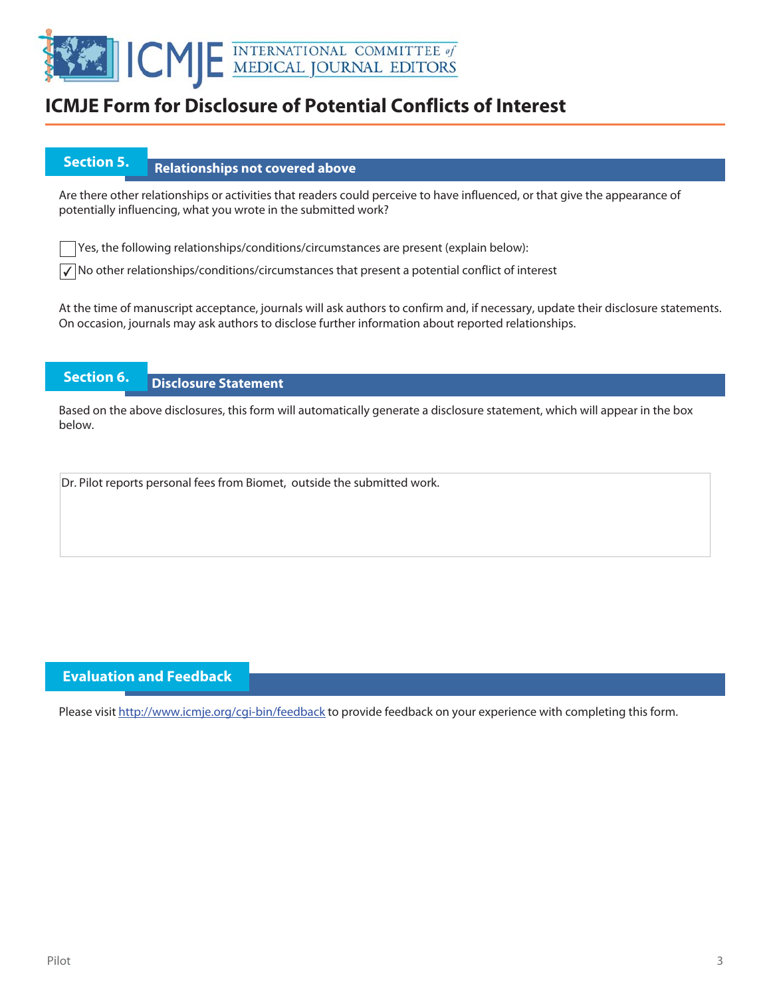

### **Section 5.** Relationships not covered above

Are there other relationships or activities that readers could perceive to have influenced, or that give the appearance of potentially influencing, what you wrote in the submitted work?

Yes, the following relationships/conditions/circumstances are present (explain below):

 $\sqrt{\ }$  No other relationships/conditions/circumstances that present a potential conflict of interest

At the time of manuscript acceptance, journals will ask authors to confirm and, if necessary, update their disclosure statements. On occasion, journals may ask authors to disclose further information about reported relationships.

### **Section 6. Disclosure Statement**

Based on the above disclosures, this form will automatically generate a disclosure statement, which will appear in the box below.

Dr. Pilot reports personal fees from Biomet, outside the submitted work.

### **Evaluation and Feedback**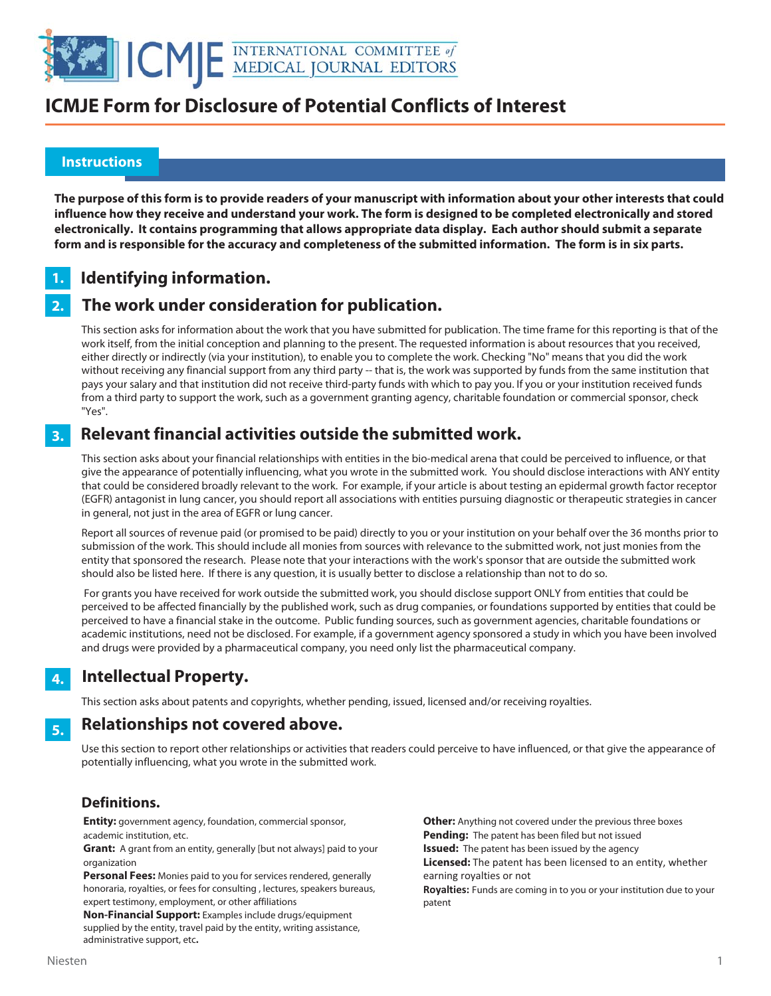

#### **Instructions**

 

> **The purpose of this form is to provide readers of your manuscript with information about your other interests that could influence how they receive and understand your work. The form is designed to be completed electronically and stored electronically. It contains programming that allows appropriate data display. Each author should submit a separate form and is responsible for the accuracy and completeness of the submitted information. The form is in six parts.**

#### **Identifying information. 1.**

#### **The work under consideration for publication. 2.**

This section asks for information about the work that you have submitted for publication. The time frame for this reporting is that of the work itself, from the initial conception and planning to the present. The requested information is about resources that you received, either directly or indirectly (via your institution), to enable you to complete the work. Checking "No" means that you did the work without receiving any financial support from any third party -- that is, the work was supported by funds from the same institution that pays your salary and that institution did not receive third-party funds with which to pay you. If you or your institution received funds from a third party to support the work, such as a government granting agency, charitable foundation or commercial sponsor, check "Yes".

#### **Relevant financial activities outside the submitted work. 3.**

This section asks about your financial relationships with entities in the bio-medical arena that could be perceived to influence, or that give the appearance of potentially influencing, what you wrote in the submitted work. You should disclose interactions with ANY entity that could be considered broadly relevant to the work. For example, if your article is about testing an epidermal growth factor receptor (EGFR) antagonist in lung cancer, you should report all associations with entities pursuing diagnostic or therapeutic strategies in cancer in general, not just in the area of EGFR or lung cancer.

Report all sources of revenue paid (or promised to be paid) directly to you or your institution on your behalf over the 36 months prior to submission of the work. This should include all monies from sources with relevance to the submitted work, not just monies from the entity that sponsored the research. Please note that your interactions with the work's sponsor that are outside the submitted work should also be listed here. If there is any question, it is usually better to disclose a relationship than not to do so.

 For grants you have received for work outside the submitted work, you should disclose support ONLY from entities that could be perceived to be affected financially by the published work, such as drug companies, or foundations supported by entities that could be perceived to have a financial stake in the outcome. Public funding sources, such as government agencies, charitable foundations or academic institutions, need not be disclosed. For example, if a government agency sponsored a study in which you have been involved and drugs were provided by a pharmaceutical company, you need only list the pharmaceutical company.

#### **Intellectual Property. 4.**

This section asks about patents and copyrights, whether pending, issued, licensed and/or receiving royalties.

#### **Relationships not covered above. 5.**

Use this section to report other relationships or activities that readers could perceive to have influenced, or that give the appearance of potentially influencing, what you wrote in the submitted work.

### **Definitions.**

**Entity:** government agency, foundation, commercial sponsor, academic institution, etc.

**Grant:** A grant from an entity, generally [but not always] paid to your organization

**Personal Fees:** Monies paid to you for services rendered, generally honoraria, royalties, or fees for consulting , lectures, speakers bureaus, expert testimony, employment, or other affiliations

**Non-Financial Support:** Examples include drugs/equipment supplied by the entity, travel paid by the entity, writing assistance, administrative support, etc**.**

**Other:** Anything not covered under the previous three boxes **Pending:** The patent has been filed but not issued **Issued:** The patent has been issued by the agency **Licensed:** The patent has been licensed to an entity, whether earning royalties or not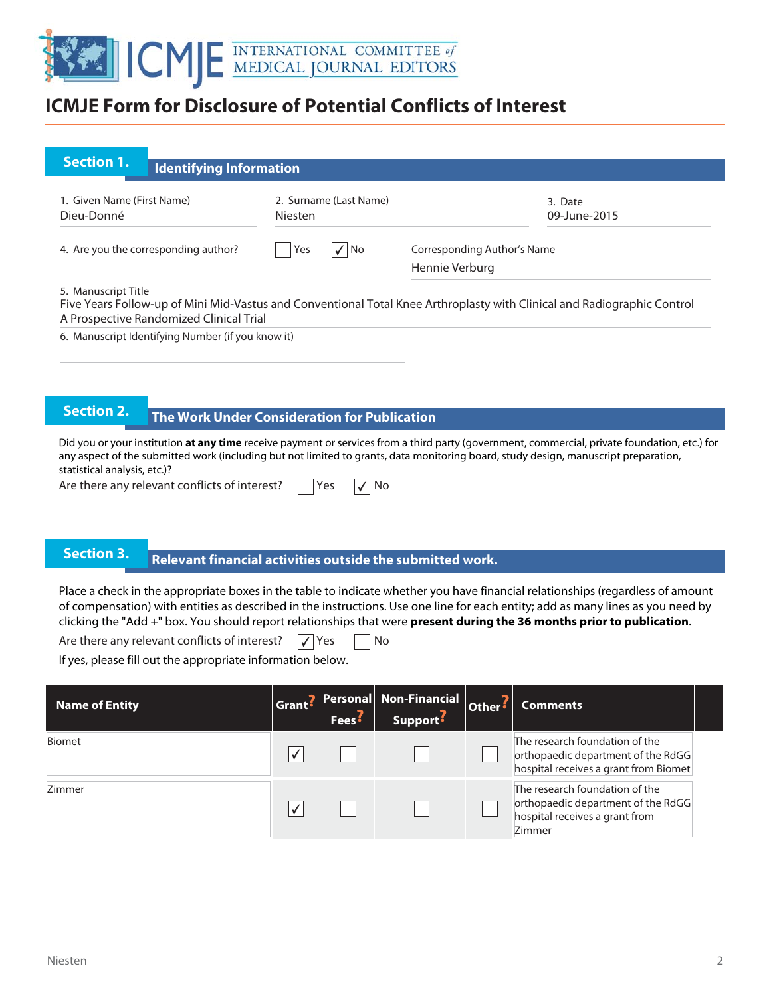

| <b>Section 1.</b>                        | <b>Identifying Information</b>          |                                          |                                               |                                                                                                                         |
|------------------------------------------|-----------------------------------------|------------------------------------------|-----------------------------------------------|-------------------------------------------------------------------------------------------------------------------------|
| 1. Given Name (First Name)<br>Dieu-Donné |                                         | 2. Surname (Last Name)<br><b>Niesten</b> |                                               | 3. Date<br>09-June-2015                                                                                                 |
|                                          | 4. Are you the corresponding author?    | $\sqrt{ NQ}$<br>Yes                      | Corresponding Author's Name<br>Hennie Verburg |                                                                                                                         |
| 5. Manuscript Title                      | A Prospective Randomized Clinical Trial |                                          |                                               | Five Years Follow-up of Mini Mid-Vastus and Conventional Total Knee Arthroplasty with Clinical and Radiographic Control |

6. Manuscript Identifying Number (if you know it)

### **The Work Under Consideration for Publication**

Did you or your institution **at any time** receive payment or services from a third party (government, commercial, private foundation, etc.) for any aspect of the submitted work (including but not limited to grants, data monitoring board, study design, manuscript preparation, statistical analysis, etc.)?

Are there any relevant conflicts of interest?  $\Box$  Yes  $\Box$  No

| ____ |  |  |
|------|--|--|
|      |  |  |
|      |  |  |
|      |  |  |
|      |  |  |
|      |  |  |

# **Relevant financial activities outside the submitted work. Section 3. Relevant financial activities outset**

Place a check in the appropriate boxes in the table to indicate whether you have financial relationships (regardless of amount of compensation) with entities as described in the instructions. Use one line for each entity; add as many lines as you need by clicking the "Add +" box. You should report relationships that were **present during the 36 months prior to publication**.

Are there any relevant conflicts of interest?  $\sqrt{\ }$  Yes  $\Box$  No

If yes, please fill out the appropriate information below.

| <b>Name of Entity</b> | $ $ Grant? | <b>Fees</b> | $\left\vert \mathsf{Personal}\right\vert$ Non-Financial<br>Support: | $ $ Other $\epsilon$ | <b>Comments</b>                                                                                                  |  |
|-----------------------|------------|-------------|---------------------------------------------------------------------|----------------------|------------------------------------------------------------------------------------------------------------------|--|
| <b>Biomet</b>         |            |             |                                                                     |                      | The research foundation of the<br>orthopaedic department of the RdGG<br>hospital receives a grant from Biomet    |  |
| Zimmer                |            |             |                                                                     |                      | The research foundation of the<br>orthopaedic department of the RdGG<br>hospital receives a grant from<br>Zimmer |  |